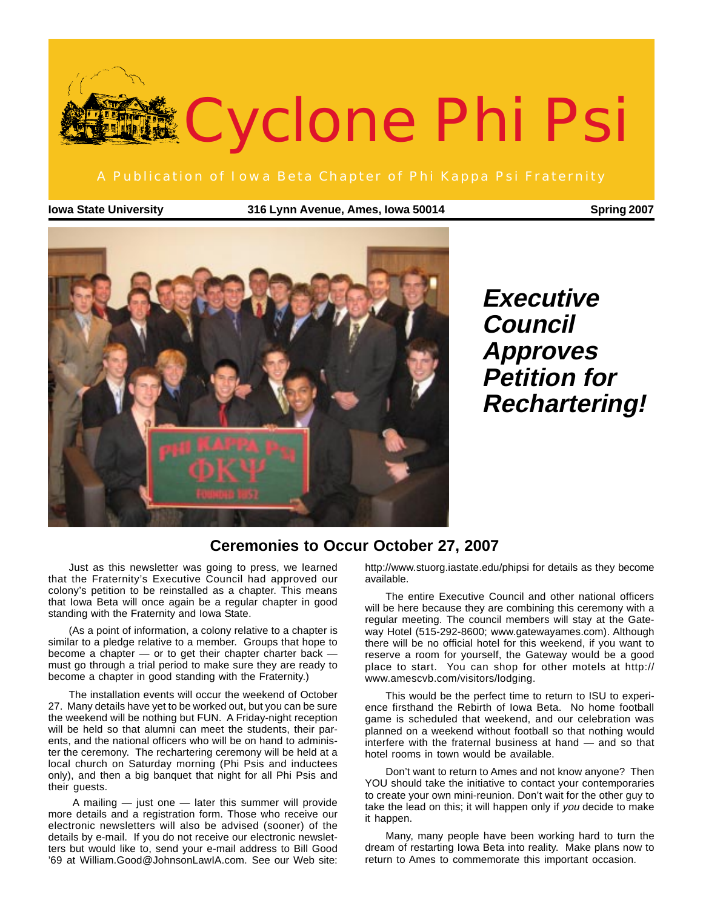

**Iowa State University 316 Lynn Avenue, Ames, Iowa 50014 Spring 2007**



**Executive Council Approves Petition for Rechartering!**

#### **Ceremonies to Occur October 27, 2007**

Just as this newsletter was going to press, we learned that the Fraternity's Executive Council had approved our colony's petition to be reinstalled as a chapter. This means that Iowa Beta will once again be a regular chapter in good standing with the Fraternity and Iowa State.

(As a point of information, a colony relative to a chapter is similar to a pledge relative to a member. Groups that hope to become a chapter — or to get their chapter charter back must go through a trial period to make sure they are ready to become a chapter in good standing with the Fraternity.)

The installation events will occur the weekend of October 27. Many details have yet to be worked out, but you can be sure the weekend will be nothing but FUN. A Friday-night reception will be held so that alumni can meet the students, their parents, and the national officers who will be on hand to administer the ceremony. The rechartering ceremony will be held at a local church on Saturday morning (Phi Psis and inductees only), and then a big banquet that night for all Phi Psis and their guests.

 A mailing — just one — later this summer will provide more details and a registration form. Those who receive our electronic newsletters will also be advised (sooner) of the details by e-mail. If you do not receive our electronic newsletters but would like to, send your e-mail address to Bill Good '69 at William.Good@JohnsonLawIA.com. See our Web site: http://www.stuorg.iastate.edu/phipsi for details as they become available.

The entire Executive Council and other national officers will be here because they are combining this ceremony with a regular meeting. The council members will stay at the Gateway Hotel (515-292-8600; www.gatewayames.com). Although there will be no official hotel for this weekend, if you want to reserve a room for yourself, the Gateway would be a good place to start. You can shop for other motels at http:// www.amescvb.com/visitors/lodging.

This would be the perfect time to return to ISU to experience firsthand the Rebirth of Iowa Beta. No home football game is scheduled that weekend, and our celebration was planned on a weekend without football so that nothing would interfere with the fraternal business at hand — and so that hotel rooms in town would be available.

Don't want to return to Ames and not know anyone? Then YOU should take the initiative to contact your contemporaries to create your own mini-reunion. Don't wait for the other guy to take the lead on this; it will happen only if you decide to make it happen.

Many, many people have been working hard to turn the dream of restarting Iowa Beta into reality. Make plans now to return to Ames to commemorate this important occasion.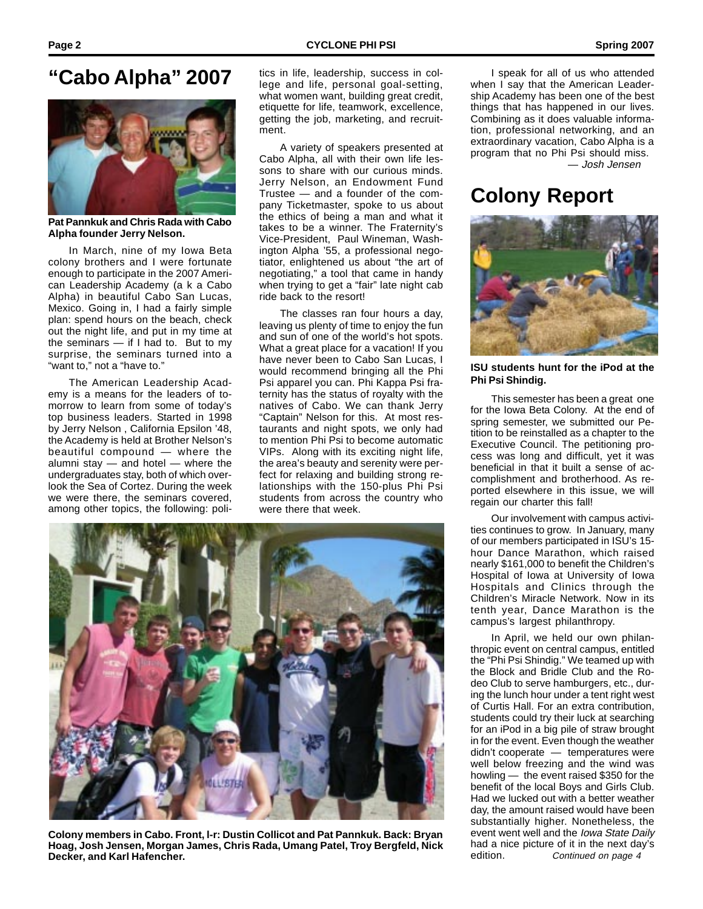

**Pat Pannkuk and Chris Rada with Cabo Alpha founder Jerry Nelson.**

In March, nine of my Iowa Beta colony brothers and I were fortunate enough to participate in the 2007 American Leadership Academy (a k a Cabo Alpha) in beautiful Cabo San Lucas, Mexico. Going in, I had a fairly simple plan: spend hours on the beach, check out the night life, and put in my time at the seminars — if I had to. But to my surprise, the seminars turned into a "want to," not a "have to."

The American Leadership Academy is a means for the leaders of tomorrow to learn from some of today's top business leaders. Started in 1998 by Jerry Nelson , California Epsilon '48, the Academy is held at Brother Nelson's beautiful compound — where the alumni stay — and hotel — where the undergraduates stay, both of which overlook the Sea of Cortez. During the week we were there, the seminars covered, among other topics, the following: poli-

**"Cabo Alpha" 2007** tics in life, leadership, success in col-<br>lege and life, personal goal-setting. lege and life, personal goal-setting, what women want, building great credit, etiquette for life, teamwork, excellence, getting the job, marketing, and recruitment.

> A variety of speakers presented at Cabo Alpha, all with their own life lessons to share with our curious minds. Jerry Nelson, an Endowment Fund Trustee — and a founder of the company Ticketmaster, spoke to us about the ethics of being a man and what it takes to be a winner. The Fraternity's Vice-President, Paul Wineman, Washington Alpha '55, a professional negotiator, enlightened us about "the art of negotiating," a tool that came in handy when trying to get a "fair" late night cab ride back to the resort!

> The classes ran four hours a day, leaving us plenty of time to enjoy the fun and sun of one of the world's hot spots. What a great place for a vacation! If you have never been to Cabo San Lucas, I would recommend bringing all the Phi Psi apparel you can. Phi Kappa Psi fraternity has the status of royalty with the natives of Cabo. We can thank Jerry "Captain" Nelson for this. At most restaurants and night spots, we only had to mention Phi Psi to become automatic VIPs. Along with its exciting night life, the area's beauty and serenity were perfect for relaxing and building strong relationships with the 150-plus Phi Psi students from across the country who were there that week.



**Colony members in Cabo. Front, l-r: Dustin Collicot and Pat Pannkuk. Back: Bryan Hoag, Josh Jensen, Morgan James, Chris Rada, Umang Patel, Troy Bergfeld, Nick Decker, and Karl Hafencher.**

 — Josh Jensen I speak for all of us who attended when I say that the American Leadership Academy has been one of the best things that has happened in our lives. Combining as it does valuable information, professional networking, and an extraordinary vacation, Cabo Alpha is a program that no Phi Psi should miss.

### **Colony Report**



**ISU students hunt for the iPod at the Phi Psi Shindig.**

This semester has been a great one for the Iowa Beta Colony. At the end of spring semester, we submitted our Petition to be reinstalled as a chapter to the Executive Council. The petitioning process was long and difficult, yet it was beneficial in that it built a sense of accomplishment and brotherhood. As reported elsewhere in this issue, we will regain our charter this fall!

Our involvement with campus activities continues to grow. In January, many of our members participated in ISU's 15 hour Dance Marathon, which raised nearly \$161,000 to benefit the Children's Hospital of Iowa at University of Iowa Hospitals and Clinics through the Children's Miracle Network. Now in its tenth year, Dance Marathon is the campus's largest philanthropy.

In April, we held our own philanthropic event on central campus, entitled the "Phi Psi Shindig." We teamed up with the Block and Bridle Club and the Rodeo Club to serve hamburgers, etc., during the lunch hour under a tent right west of Curtis Hall. For an extra contribution, students could try their luck at searching for an iPod in a big pile of straw brought in for the event. Even though the weather didn't cooperate — temperatures were well below freezing and the wind was howling — the event raised \$350 for the benefit of the local Boys and Girls Club. Had we lucked out with a better weather day, the amount raised would have been substantially higher. Nonetheless, the event went well and the *Iowa State Daily* had a nice picture of it in the next day's edition. Continued on page 4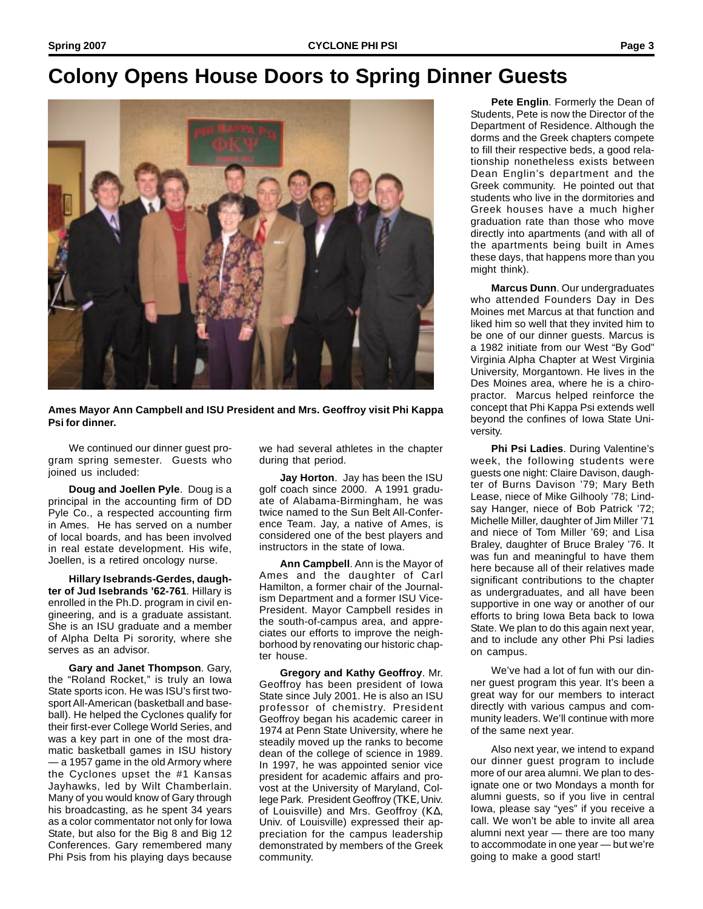## **Colony Opens House Doors to Spring Dinner Guests**



**Ames Mayor Ann CampbelI and ISU President and Mrs. Geoffroy visit Phi Kappa Psi for dinner.**

We continued our dinner guest program spring semester. Guests who joined us included:

**Doug and Joellen Pyle**. Doug is a principal in the accounting firm of DD Pyle Co., a respected accounting firm in Ames. He has served on a number of local boards, and has been involved in real estate development. His wife, Joellen, is a retired oncology nurse.

**Hillary Isebrands-Gerdes, daughter of Jud Isebrands '62-761**. Hillary is enrolled in the Ph.D. program in civil engineering, and is a graduate assistant. She is an ISU graduate and a member of Alpha Delta Pi sorority, where she serves as an advisor.

**Gary and Janet Thompson**. Gary, the "Roland Rocket," is truly an Iowa State sports icon. He was ISU's first twosport All-American (basketball and baseball). He helped the Cyclones qualify for their first-ever College World Series, and was a key part in one of the most dramatic basketball games in ISU history — a 1957 game in the old Armory where the Cyclones upset the #1 Kansas Jayhawks, led by Wilt Chamberlain. Many of you would know of Gary through his broadcasting, as he spent 34 years as a color commentator not only for Iowa State, but also for the Big 8 and Big 12 Conferences. Gary remembered many Phi Psis from his playing days because

we had several athletes in the chapter during that period.

**Jay Horton**. Jay has been the ISU golf coach since 2000. A 1991 graduate of Alabama-Birmingham, he was twice named to the Sun Belt All-Conference Team. Jay, a native of Ames, is considered one of the best players and instructors in the state of Iowa.

**Ann Campbell**. Ann is the Mayor of Ames and the daughter of Carl Hamilton, a former chair of the Journalism Department and a former ISU Vice-President. Mayor Campbell resides in the south-of-campus area, and appreciates our efforts to improve the neighborhood by renovating our historic chapter house.

**Gregory and Kathy Geoffroy**. Mr. Geoffroy has been president of Iowa State since July 2001. He is also an ISU professor of chemistry. President Geoffroy began his academic career in 1974 at Penn State University, where he steadily moved up the ranks to become dean of the college of science in 1989. In 1997, he was appointed senior vice president for academic affairs and provost at the University of Maryland, College Park. President Geoffroy (ΤΚΕ, Univ. of Louisville) and Mrs. Geoffroy (Κ∆, Univ. of Louisville) expressed their appreciation for the campus leadership demonstrated by members of the Greek community.

**Pete Englin**. Formerly the Dean of Students, Pete is now the Director of the Department of Residence. Although the dorms and the Greek chapters compete to fill their respective beds, a good relationship nonetheless exists between Dean Englin's department and the Greek community. He pointed out that students who live in the dormitories and Greek houses have a much higher graduation rate than those who move directly into apartments (and with all of the apartments being built in Ames these days, that happens more than you might think).

**Marcus Dunn**. Our undergraduates who attended Founders Day in Des Moines met Marcus at that function and liked him so well that they invited him to be one of our dinner guests. Marcus is a 1982 initiate from our West "By God" Virginia Alpha Chapter at West Virginia University, Morgantown. He lives in the Des Moines area, where he is a chiropractor. Marcus helped reinforce the concept that Phi Kappa Psi extends well beyond the confines of Iowa State University.

**Phi Psi Ladies**. During Valentine's week, the following students were guests one night: Claire Davison, daughter of Burns Davison '79; Mary Beth Lease, niece of Mike Gilhooly '78; Lindsay Hanger, niece of Bob Patrick '72; Michelle Miller, daughter of Jim Miller '71 and niece of Tom Miller '69; and Lisa Braley, daughter of Bruce Braley '76. It was fun and meaningful to have them here because all of their relatives made significant contributions to the chapter as undergraduates, and all have been supportive in one way or another of our efforts to bring Iowa Beta back to Iowa State. We plan to do this again next year, and to include any other Phi Psi ladies on campus.

We've had a lot of fun with our dinner guest program this year. It's been a great way for our members to interact directly with various campus and community leaders. We'll continue with more of the same next year.

Also next year, we intend to expand our dinner guest program to include more of our area alumni. We plan to designate one or two Mondays a month for alumni guests, so if you live in central Iowa, please say "yes" if you receive a call. We won't be able to invite all area alumni next year — there are too many to accommodate in one year — but we're going to make a good start!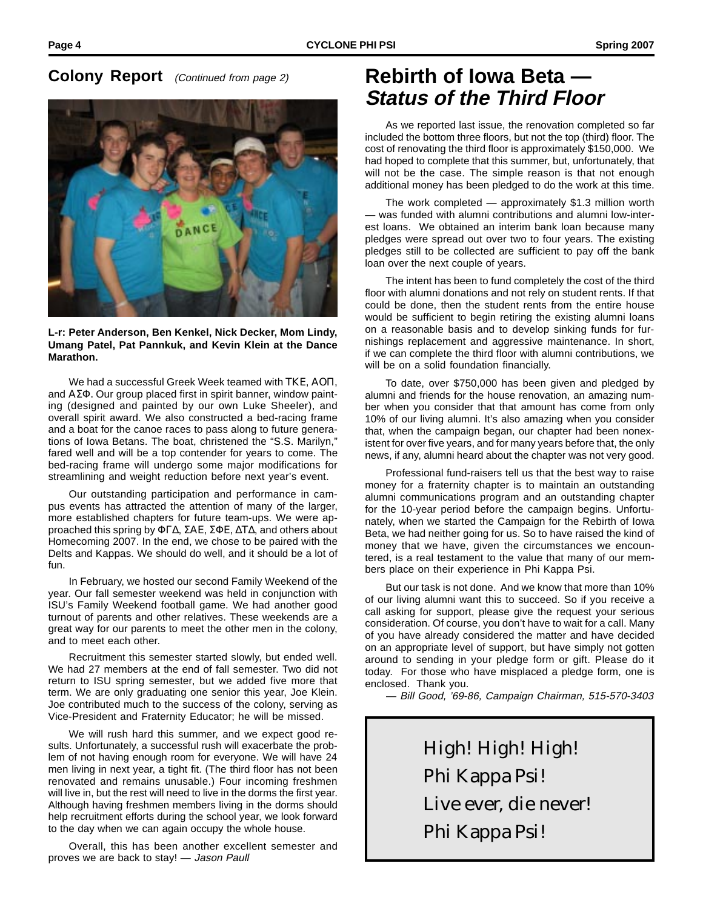#### **Colony Report** (Continued from page 2)



**L-r: Peter Anderson, Ben Kenkel, Nick Decker, Mom Lindy, Umang Patel, Pat Pannkuk, and Kevin Klein at the Dance Marathon.**

We had a successful Greek Week teamed with ΤΚΕ, ΑΟΠ, and ΑΣΦ. Our group placed first in spirit banner, window painting (designed and painted by our own Luke Sheeler), and overall spirit award. We also constructed a bed-racing frame and a boat for the canoe races to pass along to future generations of Iowa Betans. The boat, christened the "S.S. Marilyn," fared well and will be a top contender for years to come. The bed-racing frame will undergo some major modifications for streamlining and weight reduction before next year's event.

Our outstanding participation and performance in campus events has attracted the attention of many of the larger, more established chapters for future team-ups. We were approached this spring by ΦΓ∆, ΣΑΕ, ΣΦΕ, ∆Τ∆, and others about Homecoming 2007. In the end, we chose to be paired with the Delts and Kappas. We should do well, and it should be a lot of fun.

In February, we hosted our second Family Weekend of the year. Our fall semester weekend was held in conjunction with ISU's Family Weekend football game. We had another good turnout of parents and other relatives. These weekends are a great way for our parents to meet the other men in the colony, and to meet each other.

Recruitment this semester started slowly, but ended well. We had 27 members at the end of fall semester. Two did not return to ISU spring semester, but we added five more that term. We are only graduating one senior this year, Joe Klein. Joe contributed much to the success of the colony, serving as Vice-President and Fraternity Educator; he will be missed.

We will rush hard this summer, and we expect good results. Unfortunately, a successful rush will exacerbate the problem of not having enough room for everyone. We will have 24 men living in next year, a tight fit. (The third floor has not been renovated and remains unusable.) Four incoming freshmen will live in, but the rest will need to live in the dorms the first year. Although having freshmen members living in the dorms should help recruitment efforts during the school year, we look forward to the day when we can again occupy the whole house.

Overall, this has been another excellent semester and proves we are back to stay! — Jason Paull

#### **Rebirth of Iowa Beta — Status of the Third Floor**

As we reported last issue, the renovation completed so far included the bottom three floors, but not the top (third) floor. The cost of renovating the third floor is approximately \$150,000. We had hoped to complete that this summer, but, unfortunately, that will not be the case. The simple reason is that not enough additional money has been pledged to do the work at this time.

The work completed — approximately \$1.3 million worth — was funded with alumni contributions and alumni low-interest loans. We obtained an interim bank loan because many pledges were spread out over two to four years. The existing pledges still to be collected are sufficient to pay off the bank loan over the next couple of years.

The intent has been to fund completely the cost of the third floor with alumni donations and not rely on student rents. If that could be done, then the student rents from the entire house would be sufficient to begin retiring the existing alumni loans on a reasonable basis and to develop sinking funds for furnishings replacement and aggressive maintenance. In short, if we can complete the third floor with alumni contributions, we will be on a solid foundation financially.

To date, over \$750,000 has been given and pledged by alumni and friends for the house renovation, an amazing number when you consider that that amount has come from only 10% of our living alumni. It's also amazing when you consider that, when the campaign began, our chapter had been nonexistent for over five years, and for many years before that, the only news, if any, alumni heard about the chapter was not very good.

Professional fund-raisers tell us that the best way to raise money for a fraternity chapter is to maintain an outstanding alumni communications program and an outstanding chapter for the 10-year period before the campaign begins. Unfortunately, when we started the Campaign for the Rebirth of Iowa Beta, we had neither going for us. So to have raised the kind of money that we have, given the circumstances we encountered, is a real testament to the value that many of our members place on their experience in Phi Kappa Psi.

But our task is not done. And we know that more than 10% of our living alumni want this to succeed. So if you receive a call asking for support, please give the request your serious consideration. Of course, you don't have to wait for a call. Many of you have already considered the matter and have decided on an appropriate level of support, but have simply not gotten around to sending in your pledge form or gift. Please do it today. For those who have misplaced a pledge form, one is enclosed. Thank you.

— Bill Good, '69-86, Campaign Chairman, 515-570-3403

High! High! High! Phi Kappa Psi! Live ever, die never! Phi Kappa Psi!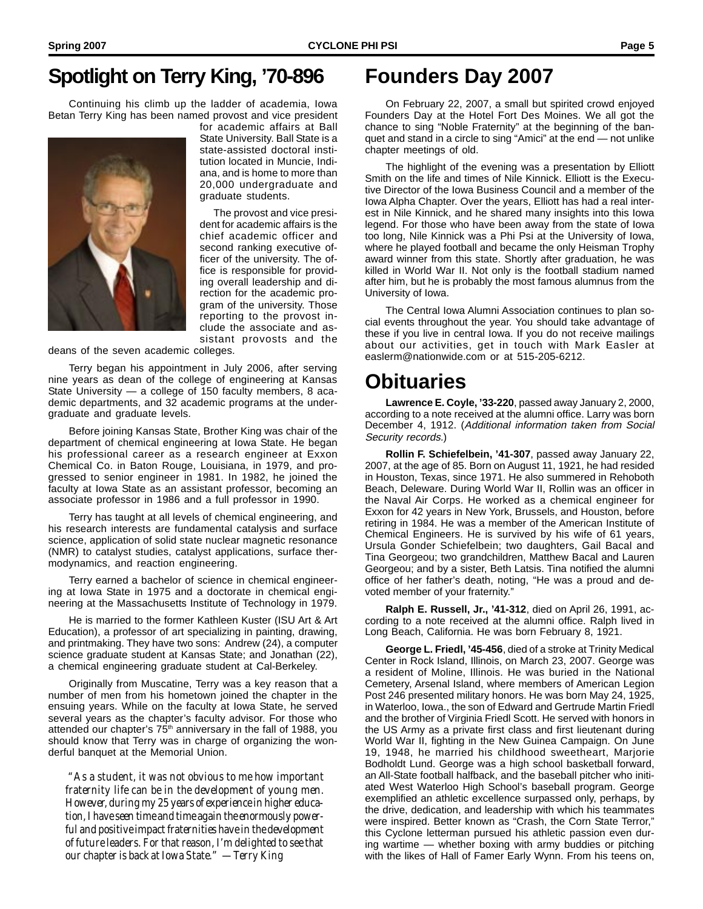## **Spotlight on Terry King, '70-896**

Continuing his climb up the ladder of academia, Iowa Betan Terry King has been named provost and vice president



for academic affairs at Ball State University. Ball State is a state-assisted doctoral institution located in Muncie, Indiana, and is home to more than 20,000 undergraduate and graduate students.

The provost and vice president for academic affairs is the chief academic officer and second ranking executive officer of the university. The office is responsible for providing overall leadership and direction for the academic program of the university. Those reporting to the provost include the associate and assistant provosts and the

deans of the seven academic colleges.

Terry began his appointment in July 2006, after serving nine years as dean of the college of engineering at Kansas State University — a college of 150 faculty members, 8 academic departments, and 32 academic programs at the undergraduate and graduate levels.

Before joining Kansas State, Brother King was chair of the department of chemical engineering at Iowa State. He began his professional career as a research engineer at Exxon Chemical Co. in Baton Rouge, Louisiana, in 1979, and progressed to senior engineer in 1981. In 1982, he joined the faculty at Iowa State as an assistant professor, becoming an associate professor in 1986 and a full professor in 1990.

Terry has taught at all levels of chemical engineering, and his research interests are fundamental catalysis and surface science, application of solid state nuclear magnetic resonance (NMR) to catalyst studies, catalyst applications, surface thermodynamics, and reaction engineering.

Terry earned a bachelor of science in chemical engineering at Iowa State in 1975 and a doctorate in chemical engineering at the Massachusetts Institute of Technology in 1979.

He is married to the former Kathleen Kuster (ISU Art & Art Education), a professor of art specializing in painting, drawing, and printmaking. They have two sons: Andrew (24), a computer science graduate student at Kansas State; and Jonathan (22), a chemical engineering graduate student at Cal-Berkeley.

Originally from Muscatine, Terry was a key reason that a number of men from his hometown joined the chapter in the ensuing years. While on the faculty at Iowa State, he served several years as the chapter's faculty advisor. For those who attended our chapter's 75<sup>th</sup> anniversary in the fall of 1988, you should know that Terry was in charge of organizing the wonderful banquet at the Memorial Union.

"As a student, it was not obvious to me how important fraternity life can be in the development of young men. However, during my 25 years of experience in higher education, I have seen time and time again the enormously powerful and positive impact fraternities have in the development of future leaders. For that reason, I'm delighted to see that our chapter is back at Iowa State." —Terry King

## **Founders Day 2007**

On February 22, 2007, a small but spirited crowd enjoyed Founders Day at the Hotel Fort Des Moines. We all got the chance to sing "Noble Fraternity" at the beginning of the banquet and stand in a circle to sing "Amici" at the end — not unlike chapter meetings of old.

The highlight of the evening was a presentation by Elliott Smith on the life and times of Nile Kinnick. Elliott is the Executive Director of the Iowa Business Council and a member of the Iowa Alpha Chapter. Over the years, Elliott has had a real interest in Nile Kinnick, and he shared many insights into this Iowa legend. For those who have been away from the state of Iowa too long, Nile Kinnick was a Phi Psi at the University of Iowa, where he played football and became the only Heisman Trophy award winner from this state. Shortly after graduation, he was killed in World War II. Not only is the football stadium named after him, but he is probably the most famous alumnus from the University of Iowa.

The Central Iowa Alumni Association continues to plan social events throughout the year. You should take advantage of these if you live in central Iowa. If you do not receive mailings about our activities, get in touch with Mark Easler at easlerm@nationwide.com or at 515-205-6212.

### **Obituaries**

**Lawrence E. Coyle, '33-220**, passed away January 2, 2000, according to a note received at the alumni office. Larry was born December 4, 1912. (Additional information taken from Social Security records.)

**Rollin F. Schiefelbein, '41-307**, passed away January 22, 2007, at the age of 85. Born on August 11, 1921, he had resided in Houston, Texas, since 1971. He also summered in Rehoboth Beach, Deleware. During World War II, Rollin was an officer in the Naval Air Corps. He worked as a chemical engineer for Exxon for 42 years in New York, Brussels, and Houston, before retiring in 1984. He was a member of the American Institute of Chemical Engineers. He is survived by his wife of 61 years, Ursula Gonder Schiefelbein; two daughters, Gail Bacal and Tina Georgeou; two grandchildren, Matthew Bacal and Lauren Georgeou; and by a sister, Beth Latsis. Tina notified the alumni office of her father's death, noting, "He was a proud and devoted member of your fraternity."

**Ralph E. Russell, Jr., '41-312**, died on April 26, 1991, according to a note received at the alumni office. Ralph lived in Long Beach, California. He was born February 8, 1921.

**George L. Friedl, '45-456**, died of a stroke at Trinity Medical Center in Rock Island, Illinois, on March 23, 2007. George was a resident of Moline, Illinois. He was buried in the National Cemetery, Arsenal Island, where members of American Legion Post 246 presented military honors. He was born May 24, 1925, in Waterloo, Iowa., the son of Edward and Gertrude Martin Friedl and the brother of Virginia Friedl Scott. He served with honors in the US Army as a private first class and first lieutenant during World War II, fighting in the New Guinea Campaign. On June 19, 1948, he married his childhood sweetheart, Marjorie Bodholdt Lund. George was a high school basketball forward, an All-State football halfback, and the baseball pitcher who initiated West Waterloo High School's baseball program. George exemplified an athletic excellence surpassed only, perhaps, by the drive, dedication, and leadership with which his teammates were inspired. Better known as "Crash, the Corn State Terror," this Cyclone letterman pursued his athletic passion even during wartime — whether boxing with army buddies or pitching with the likes of Hall of Famer Early Wynn. From his teens on,